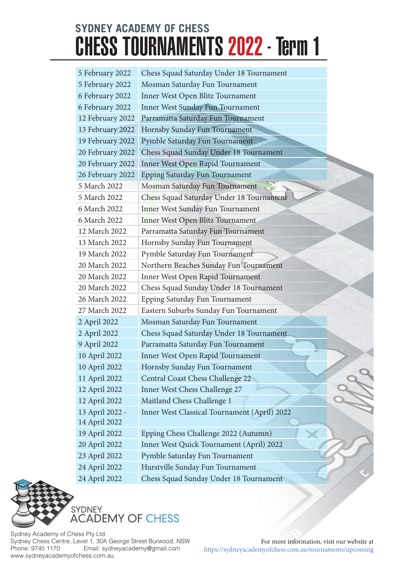| 5 February 2022  | Chess Squad Saturday Under 18 Tournament     |
|------------------|----------------------------------------------|
| 5 February 2022  | Mosman Saturday Fun Tournament               |
| 6 February 2022  | Inner West Open Blitz Tournament             |
| 6 February 2022  | <b>Inner West Sunday Fun Tournament</b>      |
| 12 February 2022 | Parramatta Saturday Fun Tournament           |
| 13 February 2022 | Hornsby Sunday Fun Tournament                |
| 19 February 2022 | Pymble Saturday Fun Tournament               |
| 20 February 2022 | Chess Squad Sunday Under 18 Tournament       |
| 20 February 2022 | Inner West Open Rapid Tournament             |
| 26 February 2022 | Epping Saturday Fun Tournament               |
| 5 March 2022     | Mosman Saturday Fun Tournament               |
| 5 March 2022     | Chess Squad Saturday Under 18 Tournament     |
| 6 March 2022     | Inner West Sunday Fun Tournament             |
| 6 March 2022     | Inner West Open Blitz Tournament             |
| 12 March 2022    | Parramatta Saturday Fun Tournament           |
| 13 March 2022    | Hornsby Sunday Fun Tournament                |
| 19 March 2022    | Pymble Saturday Fun Tournament               |
| 20 March 2022    | Northern Beaches Sunday Fun Tournament       |
| 20 March 2022    | Inner West Open Rapid Tournament             |
| 20 March 2022    | Chess Squad Sunday Under 18 Tournament       |
| 26 March 2022    | Epping Saturday Fun Tournament               |
| 27 March 2022    | Eastern Suburbs Sunday Fun Tournament        |
| 2 April 2022     | Mosman Saturday Fun Tournament               |
| 2 April 2022     | Chess Squad Saturday Under 18 Tournament     |
| 9 April 2022     | Parramatta Saturday Fun Tournament           |
| 10 April 2022    | Inner West Open Rapid Tournament             |
| 10 April 2022    | Hornsby Sunday Fun Tournament                |
| 11 April 2022    | Central Coast Chess Challenge 22             |
| 12 April 2022    | Inner West Chess Challenge 27                |
| 12 April 2022    | Maitland Chess Challenge 1                   |
| 13 April 2022 -  | Inner West Classical Tournament (April) 2022 |
| 14 April 2022    |                                              |
| 19 April 2022    | Epping Chess Challenge 2022 (Autumn)         |
| 20 April 2022    | Inner West Quick Tournament (April) 2022     |
| 23 April 2022    | Pymble Saturday Fun Tournament               |
| 24 April 2022    | Hurstville Sunday Fun Tournament             |
| 24 April 2022    | Chess Squad Sunday Under 18 Tournament       |



Sydney Academy of Chess Pty Ltd Sydney Chess Centre, Level 1, 30A George Street Burwood, NSW<br>Phone: 9745 1170 Email: sydneyacademy@gmail.com Email: sydneyacademy@gmail.com www.sydneyacademyofchess.com.au

For more information, visit our website at https://sydneyacademyofchess.com.au/tournaments/upcoming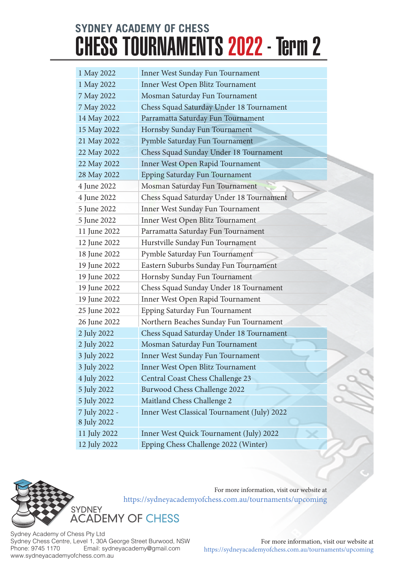| 1 May 2022    | Inner West Sunday Fun Tournament            |
|---------------|---------------------------------------------|
| 1 May 2022    | Inner West Open Blitz Tournament            |
| 7 May 2022    | Mosman Saturday Fun Tournament              |
| 7 May 2022    | Chess Squad Saturday Under 18 Tournament    |
| 14 May 2022   | Parramatta Saturday Fun Tournament          |
| 15 May 2022   | Hornsby Sunday Fun Tournament               |
| 21 May 2022   | Pymble Saturday Fun Tournament              |
| 22 May 2022   | Chess Squad Sunday Under 18 Tournament      |
| 22 May 2022   | Inner West Open Rapid Tournament            |
| 28 May 2022   | Epping Saturday Fun Tournament              |
| 4 June 2022   | Mosman Saturday Fun Tournament              |
| 4 June 2022   | Chess Squad Saturday Under 18 Tournament    |
| 5 June 2022   | Inner West Sunday Fun Tournament            |
| 5 June 2022   | Inner West Open Blitz Tournament            |
| 11 June 2022  | Parramatta Saturday Fun Tournament          |
| 12 June 2022  | Hurstville Sunday Fun Tournament            |
| 18 June 2022  | Pymble Saturday Fun Tournament              |
| 19 June 2022  | Eastern Suburbs Sunday Fun Tournament       |
| 19 June 2022  | Hornsby Sunday Fun Tournament               |
| 19 June 2022  | Chess Squad Sunday Under 18 Tournament      |
| 19 June 2022  | Inner West Open Rapid Tournament            |
| 25 June 2022  | Epping Saturday Fun Tournament              |
| 26 June 2022  | Northern Beaches Sunday Fun Tournament      |
| 2 July 2022   | Chess Squad Saturday Under 18 Tournament    |
| 2 July 2022   | Mosman Saturday Fun Tournament              |
| 3 July 2022   | Inner West Sunday Fun Tournament            |
| 3 July 2022   | Inner West Open Blitz Tournament            |
| 4 July 2022   | Central Coast Chess Challenge 23            |
| 5 July 2022   | Burwood Chess Challenge 2022                |
| 5 July 2022   | Maitland Chess Challenge 2                  |
| 7 July 2022 - | Inner West Classical Tournament (July) 2022 |
| 8 July 2022   |                                             |
| 11 July 2022  | Inner West Quick Tournament (July) 2022     |
| 12 July 2022  | Epping Chess Challenge 2022 (Winter)        |



For more information, visit our website at

Sydney Academy of Chess Pty Ltd Sydney Chess Centre, Level 1, 30A George Street Burwood, NSW<br>Phone: 9745 1170 Email: sydneyacademy@gmail.com Email: sydneyacademy@gmail.com www.sydneyacademyofchess.com.au

For more information, visit our website at https://sydneyacademyofchess.com.au/tournaments/upcoming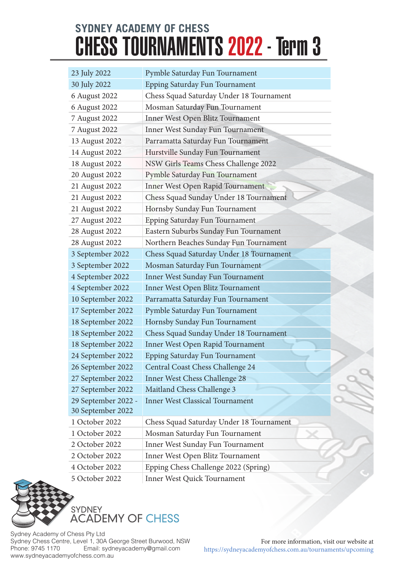| 23 July 2022        | Pymble Saturday Fun Tournament           |
|---------------------|------------------------------------------|
| 30 July 2022        | Epping Saturday Fun Tournament           |
| 6 August 2022       | Chess Squad Saturday Under 18 Tournament |
| 6 August 2022       | Mosman Saturday Fun Tournament           |
| 7 August 2022       | Inner West Open Blitz Tournament         |
| 7 August 2022       | Inner West Sunday Fun Tournament         |
| 13 August 2022      | Parramatta Saturday Fun Tournament       |
| 14 August 2022      | Hurstville Sunday Fun Tournament         |
| 18 August 2022      | NSW Girls Teams Chess Challenge 2022     |
| 20 August 2022      | Pymble Saturday Fun Tournament           |
| 21 August 2022      | Inner West Open Rapid Tournament         |
| 21 August 2022      | Chess Squad Sunday Under 18 Tournament   |
| 21 August 2022      | Hornsby Sunday Fun Tournament            |
| 27 August 2022      | Epping Saturday Fun Tournament           |
| 28 August 2022      | Eastern Suburbs Sunday Fun Tournament    |
| 28 August 2022      | Northern Beaches Sunday Fun Tournament   |
| 3 September 2022    | Chess Squad Saturday Under 18 Tournament |
| 3 September 2022    | Mosman Saturday Fun Tournament           |
| 4 September 2022    | Inner West Sunday Fun Tournament         |
| 4 September 2022    | Inner West Open Blitz Tournament         |
| 10 September 2022   | Parramatta Saturday Fun Tournament       |
| 17 September 2022   | Pymble Saturday Fun Tournament           |
| 18 September 2022   | Hornsby Sunday Fun Tournament            |
| 18 September 2022   | Chess Squad Sunday Under 18 Tournament   |
| 18 September 2022   | Inner West Open Rapid Tournament         |
| 24 September 2022   | Epping Saturday Fun Tournament           |
| 26 September 2022   | Central Coast Chess Challenge 24         |
| 27 September 2022   | Inner West Chess Challenge 28            |
| 27 September 2022   | Maitland Chess Challenge 3               |
| 29 September 2022 - | <b>Inner West Classical Tournament</b>   |
| 30 September 2022   |                                          |
| 1 October 2022      | Chess Squad Saturday Under 18 Tournament |
| 1 October 2022      | Mosman Saturday Fun Tournament           |
| 2 October 2022      | Inner West Sunday Fun Tournament         |
| 2 October 2022      | Inner West Open Blitz Tournament         |
| 4 October 2022      | Epping Chess Challenge 2022 (Spring)     |
| 5 October 2022      | Inner West Quick Tournament              |



Sydney Academy of Chess Pty Ltd Sydney Chess Centre, Level 1, 30A George Street Burwood, NSW<br>Phone: 9745 1170 Email: sydneyacademy@gmail.com Email: sydneyacademy@gmail.com www.sydneyacademyofchess.com.au